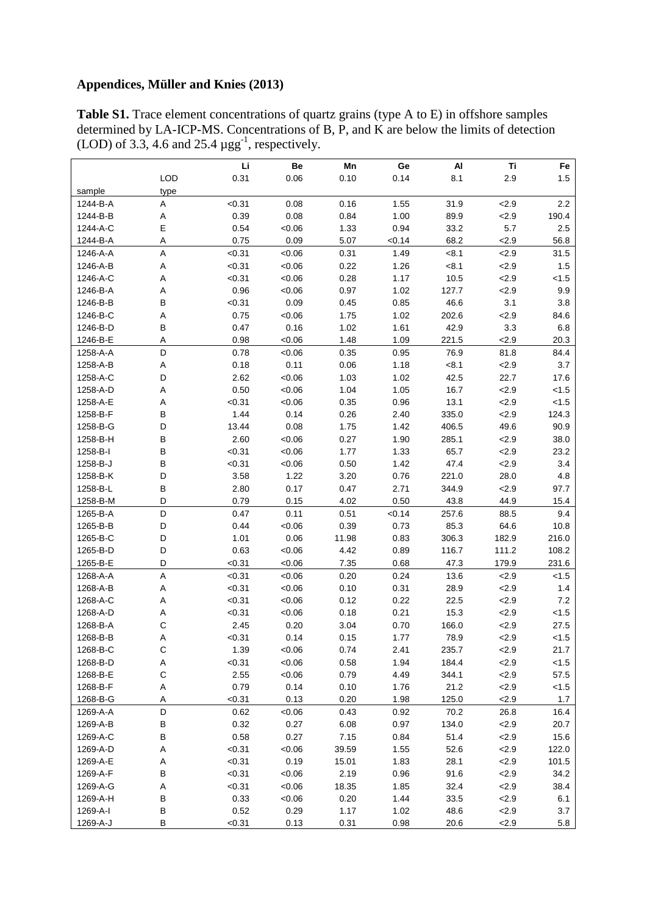## **Appendices, Müller and Knies (2013)**

**Table S1.** Trace element concentrations of quartz grains (type A to E) in offshore samples determined by LA-ICP-MS. Concentrations of B, P, and K are below the limits of detection (LOD) of 3.3, 4.6 and 25.4  $\mu$ gg<sup>-1</sup>, respectively.

| Be<br>Mn<br>Ge<br>Al<br>0.31<br><b>LOD</b><br>0.06<br>0.10<br>0.14<br>8.1<br>2.9<br>1.5<br>sample<br>type<br>2.2<br>< 0.31<br>0.08<br>0.16<br>1.55<br>31.9<br>2.9<br>1244-B-A<br>Α<br>0.39<br>0.08<br>0.84<br>1244-B-B<br>1.00<br>89.9<br>2.9<br>190.4<br>Α<br>Ε<br>0.54<br>1.33<br>5.7<br>2.5<br>1244-A-C<br><0.06<br>0.94<br>33.2<br>Α<br>0.75<br>0.09<br>2.9<br>1244-B-A<br>5.07<br>< 0.14<br>68.2<br>56.8<br>A<br>< 0.31<br>< 0.06<br>0.31<br>2.9<br>1246-A-A<br>1.49<br>< 8.1<br>31.5<br>1246-A-B<br>Α<br>< 0.31<br>< 0.06<br>0.22<br>1.26<br>< 8.1<br>2.9<br>1.5<br>1246-A-C<br>A<br>< 0.31<br>< 0.06<br>0.28<br>1.17<br>10.5<br>2.9<br>< 1.5<br>0.96<br>1246-B-A<br>А<br>< 0.06<br>0.97<br>1.02<br>127.7<br>2.9<br>9.9<br>B<br>1246-B-B<br>< 0.31<br>0.09<br>0.45<br>0.85<br>46.6<br>3.1<br>3.8<br>1246-B-C<br>Α<br>0.75<br>< 0.06<br>1.75<br>1.02<br>202.6<br>2.9<br>84.6<br>1246-B-D<br>B<br>0.47<br>0.16<br>1.02<br>1.61<br>42.9<br>3.3<br>$6.8\,$<br>Α<br>0.98<br>1.48<br>2.9<br>1246-B-E<br>< 0.06<br>1.09<br>221.5<br>20.3<br>D<br>0.78<br>0.35<br>76.9<br>1258-A-A<br>< 0.06<br>0.95<br>81.8<br>84.4<br>0.18<br>0.11<br>0.06<br>1.18<br>< 8.1<br>3.7<br>1258-A-B<br>A<br>2.9<br>D<br>2.62<br>42.5<br>1258-A-C<br><0.06<br>1.03<br>1.02<br>22.7<br>17.6<br>Α<br>0.50<br>1.04<br>16.7<br>2.9<br>1258-A-D<br><0.06<br>1.05<br>< 1.5<br>Α<br>< 0.31<br>< 0.06<br>13.1<br>< 1.5<br>1258-A-E<br>0.35<br>0.96<br>2.9<br>В<br>1.44<br>0.14<br>0.26<br>124.3<br>1258-B-F<br>2.40<br>335.0<br>2.9<br>D<br>13.44<br>0.08<br>406.5<br>49.6<br>90.9<br>1258-B-G<br>1.75<br>1.42<br>В<br>2.60<br>< 0.06<br>0.27<br>1.90<br>38.0<br>1258-B-H<br>285.1<br>2.9<br>1258-B-I<br>В<br>< 0.31<br>1.77<br>1.33<br>65.7<br>2.9<br>23.2<br>< 0.06<br>1258-B-J<br>В<br>0.50<br>47.4<br>< 0.31<br><0.06<br>1.42<br>2.9<br>3.4<br>1258-B-K<br>D<br>3.58<br>1.22<br>3.20<br>0.76<br>221.0<br>28.0<br>4.8<br>1258-B-L<br>B<br>2.80<br>0.17<br>0.47<br>2.71<br>344.9<br>2.9<br>97.7<br>D<br>0.79<br>0.15<br>4.02<br>0.50<br>43.8<br>1258-B-M<br>44.9<br>15.4<br>D<br>0.47<br>0.11<br>0.51<br>< 0.14<br>257.6<br>1265-B-A<br>88.5<br>9.4<br>1265-B-B<br>D<br>0.44<br><0.06<br>0.39<br>0.73<br>85.3<br>64.6<br>10.8<br>216.0<br>D<br>1.01<br>0.06<br>0.83<br>306.3<br>182.9<br>1265-B-C<br>11.98<br>1265-B-D<br>D<br>0.63<br>< 0.06<br>4.42<br>0.89<br>116.7<br>111.2<br>108.2<br>D<br>< 0.31<br>231.6<br>1265-B-E<br><0.06<br>7.35<br>0.68<br>47.3<br>179.9<br>$\sf A$<br>1268-A-A<br>< 0.31<br>< 0.06<br>0.20<br>0.24<br>13.6<br>2.9<br>< 1.5<br>< 0.31<br>0.10<br>0.31<br>2.9<br>1268-A-B<br>Α<br><0.06<br>28.9<br>1.4<br>7.2<br>1268-A-C<br>Α<br>< 0.31<br><0.06<br>0.12<br>0.22<br>22.5<br>2.9<br>15.3<br>1268-A-D<br>Α<br>< 0.31<br><0.06<br>0.18<br>0.21<br>2.9<br>< 1.5<br>С<br>1268-B-A<br>2.45<br>0.20<br>166.0<br>3.04<br>0.70<br>2.9<br>27.5<br>Α<br>0.14<br>1268-B-B<br>< 0.31<br>0.15<br>1.77<br>78.9<br>2.9<br>< 1.5<br>C<br><0.06<br>2.41<br>1268-B-C<br>1.39<br>0.74<br>235.7<br>2.9<br>21.7<br>1268-B-D<br>A<br>< 0.31<br><0.06<br>0.58<br>1.94<br>184.4<br>2.9<br>< 1.5<br>$\mathsf C$<br>2.55<br><0.06<br>0.79<br>344.1<br>1268-B-E<br>4.49<br>2.9<br>57.5<br>0.79<br>0.14<br>1268-B-F<br>Α<br>0.10<br>1.76<br>21.2<br>2.9<br>< 1.5<br>< 0.31<br>1268-B-G<br>Α<br>0.13<br>0.20<br>1.98<br>125.0<br>2.9<br>1.7<br>D<br>0.62<br>0.43<br>70.2<br>1269-A-A<br><0.06<br>0.92<br>26.8<br>16.4<br>0.32<br>1269-A-B<br>В<br>0.27<br>6.08<br>0.97<br>134.0<br>2.9<br>20.7<br>В<br>0.58<br>0.27<br>51.4<br>15.6<br>1269-A-C<br>7.15<br>0.84<br>2.9<br>A<br>< 0.31<br><0.06<br>1269-A-D<br>39.59<br>1.55<br>52.6<br>2.9<br>122.0<br>1269-A-E<br>Α<br>< 0.31<br>0.19<br>15.01<br>1.83<br>28.1<br>2.9<br>101.5<br>B<br>1269-A-F<br>< 0.31<br><0.06<br>2.19<br>0.96<br>91.6<br>2.9<br>34.2<br>1269-A-G<br>Α<br>< 0.31<br><0.06<br>18.35<br>1.85<br>32.4<br>2.9<br>38.4<br>B<br>1269-A-H<br>0.33<br><0.06<br>0.20<br>1.44<br>33.5<br>2.9<br>6.1<br>0.52<br>1269-A-I<br>В<br>0.29<br>1.17<br>1.02<br>48.6<br>2.9<br>3.7<br>1269-A-J<br>В<br>< 0.31<br>0.13<br>0.31<br>0.98<br>2.9<br>5.8<br>20.6 |  | Li |  |  | Ti | $\mathsf{Fe}$ |
|------------------------------------------------------------------------------------------------------------------------------------------------------------------------------------------------------------------------------------------------------------------------------------------------------------------------------------------------------------------------------------------------------------------------------------------------------------------------------------------------------------------------------------------------------------------------------------------------------------------------------------------------------------------------------------------------------------------------------------------------------------------------------------------------------------------------------------------------------------------------------------------------------------------------------------------------------------------------------------------------------------------------------------------------------------------------------------------------------------------------------------------------------------------------------------------------------------------------------------------------------------------------------------------------------------------------------------------------------------------------------------------------------------------------------------------------------------------------------------------------------------------------------------------------------------------------------------------------------------------------------------------------------------------------------------------------------------------------------------------------------------------------------------------------------------------------------------------------------------------------------------------------------------------------------------------------------------------------------------------------------------------------------------------------------------------------------------------------------------------------------------------------------------------------------------------------------------------------------------------------------------------------------------------------------------------------------------------------------------------------------------------------------------------------------------------------------------------------------------------------------------------------------------------------------------------------------------------------------------------------------------------------------------------------------------------------------------------------------------------------------------------------------------------------------------------------------------------------------------------------------------------------------------------------------------------------------------------------------------------------------------------------------------------------------------------------------------------------------------------------------------------------------------------------------------------------------------------------------------------------------------------------------------------------------------------------------------------------------------------------------------------------------------------------------------------------------------------------------------------------------------------------------------------------------------------------------------------------------------------------------------------------------------------------------------------------------------------------------------------------------------------------------------------------------------------------------------------------------------------------------------------------------------------------------------------------------------------------------------------------------------------------------------------------------------------------------------|--|----|--|--|----|---------------|
|                                                                                                                                                                                                                                                                                                                                                                                                                                                                                                                                                                                                                                                                                                                                                                                                                                                                                                                                                                                                                                                                                                                                                                                                                                                                                                                                                                                                                                                                                                                                                                                                                                                                                                                                                                                                                                                                                                                                                                                                                                                                                                                                                                                                                                                                                                                                                                                                                                                                                                                                                                                                                                                                                                                                                                                                                                                                                                                                                                                                                                                                                                                                                                                                                                                                                                                                                                                                                                                                                                                                                                                                                                                                                                                                                                                                                                                                                                                                                                                                                                                                                    |  |    |  |  |    |               |
|                                                                                                                                                                                                                                                                                                                                                                                                                                                                                                                                                                                                                                                                                                                                                                                                                                                                                                                                                                                                                                                                                                                                                                                                                                                                                                                                                                                                                                                                                                                                                                                                                                                                                                                                                                                                                                                                                                                                                                                                                                                                                                                                                                                                                                                                                                                                                                                                                                                                                                                                                                                                                                                                                                                                                                                                                                                                                                                                                                                                                                                                                                                                                                                                                                                                                                                                                                                                                                                                                                                                                                                                                                                                                                                                                                                                                                                                                                                                                                                                                                                                                    |  |    |  |  |    |               |
|                                                                                                                                                                                                                                                                                                                                                                                                                                                                                                                                                                                                                                                                                                                                                                                                                                                                                                                                                                                                                                                                                                                                                                                                                                                                                                                                                                                                                                                                                                                                                                                                                                                                                                                                                                                                                                                                                                                                                                                                                                                                                                                                                                                                                                                                                                                                                                                                                                                                                                                                                                                                                                                                                                                                                                                                                                                                                                                                                                                                                                                                                                                                                                                                                                                                                                                                                                                                                                                                                                                                                                                                                                                                                                                                                                                                                                                                                                                                                                                                                                                                                    |  |    |  |  |    |               |
|                                                                                                                                                                                                                                                                                                                                                                                                                                                                                                                                                                                                                                                                                                                                                                                                                                                                                                                                                                                                                                                                                                                                                                                                                                                                                                                                                                                                                                                                                                                                                                                                                                                                                                                                                                                                                                                                                                                                                                                                                                                                                                                                                                                                                                                                                                                                                                                                                                                                                                                                                                                                                                                                                                                                                                                                                                                                                                                                                                                                                                                                                                                                                                                                                                                                                                                                                                                                                                                                                                                                                                                                                                                                                                                                                                                                                                                                                                                                                                                                                                                                                    |  |    |  |  |    |               |
|                                                                                                                                                                                                                                                                                                                                                                                                                                                                                                                                                                                                                                                                                                                                                                                                                                                                                                                                                                                                                                                                                                                                                                                                                                                                                                                                                                                                                                                                                                                                                                                                                                                                                                                                                                                                                                                                                                                                                                                                                                                                                                                                                                                                                                                                                                                                                                                                                                                                                                                                                                                                                                                                                                                                                                                                                                                                                                                                                                                                                                                                                                                                                                                                                                                                                                                                                                                                                                                                                                                                                                                                                                                                                                                                                                                                                                                                                                                                                                                                                                                                                    |  |    |  |  |    |               |
|                                                                                                                                                                                                                                                                                                                                                                                                                                                                                                                                                                                                                                                                                                                                                                                                                                                                                                                                                                                                                                                                                                                                                                                                                                                                                                                                                                                                                                                                                                                                                                                                                                                                                                                                                                                                                                                                                                                                                                                                                                                                                                                                                                                                                                                                                                                                                                                                                                                                                                                                                                                                                                                                                                                                                                                                                                                                                                                                                                                                                                                                                                                                                                                                                                                                                                                                                                                                                                                                                                                                                                                                                                                                                                                                                                                                                                                                                                                                                                                                                                                                                    |  |    |  |  |    |               |
|                                                                                                                                                                                                                                                                                                                                                                                                                                                                                                                                                                                                                                                                                                                                                                                                                                                                                                                                                                                                                                                                                                                                                                                                                                                                                                                                                                                                                                                                                                                                                                                                                                                                                                                                                                                                                                                                                                                                                                                                                                                                                                                                                                                                                                                                                                                                                                                                                                                                                                                                                                                                                                                                                                                                                                                                                                                                                                                                                                                                                                                                                                                                                                                                                                                                                                                                                                                                                                                                                                                                                                                                                                                                                                                                                                                                                                                                                                                                                                                                                                                                                    |  |    |  |  |    |               |
|                                                                                                                                                                                                                                                                                                                                                                                                                                                                                                                                                                                                                                                                                                                                                                                                                                                                                                                                                                                                                                                                                                                                                                                                                                                                                                                                                                                                                                                                                                                                                                                                                                                                                                                                                                                                                                                                                                                                                                                                                                                                                                                                                                                                                                                                                                                                                                                                                                                                                                                                                                                                                                                                                                                                                                                                                                                                                                                                                                                                                                                                                                                                                                                                                                                                                                                                                                                                                                                                                                                                                                                                                                                                                                                                                                                                                                                                                                                                                                                                                                                                                    |  |    |  |  |    |               |
|                                                                                                                                                                                                                                                                                                                                                                                                                                                                                                                                                                                                                                                                                                                                                                                                                                                                                                                                                                                                                                                                                                                                                                                                                                                                                                                                                                                                                                                                                                                                                                                                                                                                                                                                                                                                                                                                                                                                                                                                                                                                                                                                                                                                                                                                                                                                                                                                                                                                                                                                                                                                                                                                                                                                                                                                                                                                                                                                                                                                                                                                                                                                                                                                                                                                                                                                                                                                                                                                                                                                                                                                                                                                                                                                                                                                                                                                                                                                                                                                                                                                                    |  |    |  |  |    |               |
|                                                                                                                                                                                                                                                                                                                                                                                                                                                                                                                                                                                                                                                                                                                                                                                                                                                                                                                                                                                                                                                                                                                                                                                                                                                                                                                                                                                                                                                                                                                                                                                                                                                                                                                                                                                                                                                                                                                                                                                                                                                                                                                                                                                                                                                                                                                                                                                                                                                                                                                                                                                                                                                                                                                                                                                                                                                                                                                                                                                                                                                                                                                                                                                                                                                                                                                                                                                                                                                                                                                                                                                                                                                                                                                                                                                                                                                                                                                                                                                                                                                                                    |  |    |  |  |    |               |
|                                                                                                                                                                                                                                                                                                                                                                                                                                                                                                                                                                                                                                                                                                                                                                                                                                                                                                                                                                                                                                                                                                                                                                                                                                                                                                                                                                                                                                                                                                                                                                                                                                                                                                                                                                                                                                                                                                                                                                                                                                                                                                                                                                                                                                                                                                                                                                                                                                                                                                                                                                                                                                                                                                                                                                                                                                                                                                                                                                                                                                                                                                                                                                                                                                                                                                                                                                                                                                                                                                                                                                                                                                                                                                                                                                                                                                                                                                                                                                                                                                                                                    |  |    |  |  |    |               |
|                                                                                                                                                                                                                                                                                                                                                                                                                                                                                                                                                                                                                                                                                                                                                                                                                                                                                                                                                                                                                                                                                                                                                                                                                                                                                                                                                                                                                                                                                                                                                                                                                                                                                                                                                                                                                                                                                                                                                                                                                                                                                                                                                                                                                                                                                                                                                                                                                                                                                                                                                                                                                                                                                                                                                                                                                                                                                                                                                                                                                                                                                                                                                                                                                                                                                                                                                                                                                                                                                                                                                                                                                                                                                                                                                                                                                                                                                                                                                                                                                                                                                    |  |    |  |  |    |               |
|                                                                                                                                                                                                                                                                                                                                                                                                                                                                                                                                                                                                                                                                                                                                                                                                                                                                                                                                                                                                                                                                                                                                                                                                                                                                                                                                                                                                                                                                                                                                                                                                                                                                                                                                                                                                                                                                                                                                                                                                                                                                                                                                                                                                                                                                                                                                                                                                                                                                                                                                                                                                                                                                                                                                                                                                                                                                                                                                                                                                                                                                                                                                                                                                                                                                                                                                                                                                                                                                                                                                                                                                                                                                                                                                                                                                                                                                                                                                                                                                                                                                                    |  |    |  |  |    |               |
|                                                                                                                                                                                                                                                                                                                                                                                                                                                                                                                                                                                                                                                                                                                                                                                                                                                                                                                                                                                                                                                                                                                                                                                                                                                                                                                                                                                                                                                                                                                                                                                                                                                                                                                                                                                                                                                                                                                                                                                                                                                                                                                                                                                                                                                                                                                                                                                                                                                                                                                                                                                                                                                                                                                                                                                                                                                                                                                                                                                                                                                                                                                                                                                                                                                                                                                                                                                                                                                                                                                                                                                                                                                                                                                                                                                                                                                                                                                                                                                                                                                                                    |  |    |  |  |    |               |
|                                                                                                                                                                                                                                                                                                                                                                                                                                                                                                                                                                                                                                                                                                                                                                                                                                                                                                                                                                                                                                                                                                                                                                                                                                                                                                                                                                                                                                                                                                                                                                                                                                                                                                                                                                                                                                                                                                                                                                                                                                                                                                                                                                                                                                                                                                                                                                                                                                                                                                                                                                                                                                                                                                                                                                                                                                                                                                                                                                                                                                                                                                                                                                                                                                                                                                                                                                                                                                                                                                                                                                                                                                                                                                                                                                                                                                                                                                                                                                                                                                                                                    |  |    |  |  |    |               |
|                                                                                                                                                                                                                                                                                                                                                                                                                                                                                                                                                                                                                                                                                                                                                                                                                                                                                                                                                                                                                                                                                                                                                                                                                                                                                                                                                                                                                                                                                                                                                                                                                                                                                                                                                                                                                                                                                                                                                                                                                                                                                                                                                                                                                                                                                                                                                                                                                                                                                                                                                                                                                                                                                                                                                                                                                                                                                                                                                                                                                                                                                                                                                                                                                                                                                                                                                                                                                                                                                                                                                                                                                                                                                                                                                                                                                                                                                                                                                                                                                                                                                    |  |    |  |  |    |               |
|                                                                                                                                                                                                                                                                                                                                                                                                                                                                                                                                                                                                                                                                                                                                                                                                                                                                                                                                                                                                                                                                                                                                                                                                                                                                                                                                                                                                                                                                                                                                                                                                                                                                                                                                                                                                                                                                                                                                                                                                                                                                                                                                                                                                                                                                                                                                                                                                                                                                                                                                                                                                                                                                                                                                                                                                                                                                                                                                                                                                                                                                                                                                                                                                                                                                                                                                                                                                                                                                                                                                                                                                                                                                                                                                                                                                                                                                                                                                                                                                                                                                                    |  |    |  |  |    |               |
|                                                                                                                                                                                                                                                                                                                                                                                                                                                                                                                                                                                                                                                                                                                                                                                                                                                                                                                                                                                                                                                                                                                                                                                                                                                                                                                                                                                                                                                                                                                                                                                                                                                                                                                                                                                                                                                                                                                                                                                                                                                                                                                                                                                                                                                                                                                                                                                                                                                                                                                                                                                                                                                                                                                                                                                                                                                                                                                                                                                                                                                                                                                                                                                                                                                                                                                                                                                                                                                                                                                                                                                                                                                                                                                                                                                                                                                                                                                                                                                                                                                                                    |  |    |  |  |    |               |
|                                                                                                                                                                                                                                                                                                                                                                                                                                                                                                                                                                                                                                                                                                                                                                                                                                                                                                                                                                                                                                                                                                                                                                                                                                                                                                                                                                                                                                                                                                                                                                                                                                                                                                                                                                                                                                                                                                                                                                                                                                                                                                                                                                                                                                                                                                                                                                                                                                                                                                                                                                                                                                                                                                                                                                                                                                                                                                                                                                                                                                                                                                                                                                                                                                                                                                                                                                                                                                                                                                                                                                                                                                                                                                                                                                                                                                                                                                                                                                                                                                                                                    |  |    |  |  |    |               |
|                                                                                                                                                                                                                                                                                                                                                                                                                                                                                                                                                                                                                                                                                                                                                                                                                                                                                                                                                                                                                                                                                                                                                                                                                                                                                                                                                                                                                                                                                                                                                                                                                                                                                                                                                                                                                                                                                                                                                                                                                                                                                                                                                                                                                                                                                                                                                                                                                                                                                                                                                                                                                                                                                                                                                                                                                                                                                                                                                                                                                                                                                                                                                                                                                                                                                                                                                                                                                                                                                                                                                                                                                                                                                                                                                                                                                                                                                                                                                                                                                                                                                    |  |    |  |  |    |               |
|                                                                                                                                                                                                                                                                                                                                                                                                                                                                                                                                                                                                                                                                                                                                                                                                                                                                                                                                                                                                                                                                                                                                                                                                                                                                                                                                                                                                                                                                                                                                                                                                                                                                                                                                                                                                                                                                                                                                                                                                                                                                                                                                                                                                                                                                                                                                                                                                                                                                                                                                                                                                                                                                                                                                                                                                                                                                                                                                                                                                                                                                                                                                                                                                                                                                                                                                                                                                                                                                                                                                                                                                                                                                                                                                                                                                                                                                                                                                                                                                                                                                                    |  |    |  |  |    |               |
|                                                                                                                                                                                                                                                                                                                                                                                                                                                                                                                                                                                                                                                                                                                                                                                                                                                                                                                                                                                                                                                                                                                                                                                                                                                                                                                                                                                                                                                                                                                                                                                                                                                                                                                                                                                                                                                                                                                                                                                                                                                                                                                                                                                                                                                                                                                                                                                                                                                                                                                                                                                                                                                                                                                                                                                                                                                                                                                                                                                                                                                                                                                                                                                                                                                                                                                                                                                                                                                                                                                                                                                                                                                                                                                                                                                                                                                                                                                                                                                                                                                                                    |  |    |  |  |    |               |
|                                                                                                                                                                                                                                                                                                                                                                                                                                                                                                                                                                                                                                                                                                                                                                                                                                                                                                                                                                                                                                                                                                                                                                                                                                                                                                                                                                                                                                                                                                                                                                                                                                                                                                                                                                                                                                                                                                                                                                                                                                                                                                                                                                                                                                                                                                                                                                                                                                                                                                                                                                                                                                                                                                                                                                                                                                                                                                                                                                                                                                                                                                                                                                                                                                                                                                                                                                                                                                                                                                                                                                                                                                                                                                                                                                                                                                                                                                                                                                                                                                                                                    |  |    |  |  |    |               |
|                                                                                                                                                                                                                                                                                                                                                                                                                                                                                                                                                                                                                                                                                                                                                                                                                                                                                                                                                                                                                                                                                                                                                                                                                                                                                                                                                                                                                                                                                                                                                                                                                                                                                                                                                                                                                                                                                                                                                                                                                                                                                                                                                                                                                                                                                                                                                                                                                                                                                                                                                                                                                                                                                                                                                                                                                                                                                                                                                                                                                                                                                                                                                                                                                                                                                                                                                                                                                                                                                                                                                                                                                                                                                                                                                                                                                                                                                                                                                                                                                                                                                    |  |    |  |  |    |               |
|                                                                                                                                                                                                                                                                                                                                                                                                                                                                                                                                                                                                                                                                                                                                                                                                                                                                                                                                                                                                                                                                                                                                                                                                                                                                                                                                                                                                                                                                                                                                                                                                                                                                                                                                                                                                                                                                                                                                                                                                                                                                                                                                                                                                                                                                                                                                                                                                                                                                                                                                                                                                                                                                                                                                                                                                                                                                                                                                                                                                                                                                                                                                                                                                                                                                                                                                                                                                                                                                                                                                                                                                                                                                                                                                                                                                                                                                                                                                                                                                                                                                                    |  |    |  |  |    |               |
|                                                                                                                                                                                                                                                                                                                                                                                                                                                                                                                                                                                                                                                                                                                                                                                                                                                                                                                                                                                                                                                                                                                                                                                                                                                                                                                                                                                                                                                                                                                                                                                                                                                                                                                                                                                                                                                                                                                                                                                                                                                                                                                                                                                                                                                                                                                                                                                                                                                                                                                                                                                                                                                                                                                                                                                                                                                                                                                                                                                                                                                                                                                                                                                                                                                                                                                                                                                                                                                                                                                                                                                                                                                                                                                                                                                                                                                                                                                                                                                                                                                                                    |  |    |  |  |    |               |
|                                                                                                                                                                                                                                                                                                                                                                                                                                                                                                                                                                                                                                                                                                                                                                                                                                                                                                                                                                                                                                                                                                                                                                                                                                                                                                                                                                                                                                                                                                                                                                                                                                                                                                                                                                                                                                                                                                                                                                                                                                                                                                                                                                                                                                                                                                                                                                                                                                                                                                                                                                                                                                                                                                                                                                                                                                                                                                                                                                                                                                                                                                                                                                                                                                                                                                                                                                                                                                                                                                                                                                                                                                                                                                                                                                                                                                                                                                                                                                                                                                                                                    |  |    |  |  |    |               |
|                                                                                                                                                                                                                                                                                                                                                                                                                                                                                                                                                                                                                                                                                                                                                                                                                                                                                                                                                                                                                                                                                                                                                                                                                                                                                                                                                                                                                                                                                                                                                                                                                                                                                                                                                                                                                                                                                                                                                                                                                                                                                                                                                                                                                                                                                                                                                                                                                                                                                                                                                                                                                                                                                                                                                                                                                                                                                                                                                                                                                                                                                                                                                                                                                                                                                                                                                                                                                                                                                                                                                                                                                                                                                                                                                                                                                                                                                                                                                                                                                                                                                    |  |    |  |  |    |               |
|                                                                                                                                                                                                                                                                                                                                                                                                                                                                                                                                                                                                                                                                                                                                                                                                                                                                                                                                                                                                                                                                                                                                                                                                                                                                                                                                                                                                                                                                                                                                                                                                                                                                                                                                                                                                                                                                                                                                                                                                                                                                                                                                                                                                                                                                                                                                                                                                                                                                                                                                                                                                                                                                                                                                                                                                                                                                                                                                                                                                                                                                                                                                                                                                                                                                                                                                                                                                                                                                                                                                                                                                                                                                                                                                                                                                                                                                                                                                                                                                                                                                                    |  |    |  |  |    |               |
|                                                                                                                                                                                                                                                                                                                                                                                                                                                                                                                                                                                                                                                                                                                                                                                                                                                                                                                                                                                                                                                                                                                                                                                                                                                                                                                                                                                                                                                                                                                                                                                                                                                                                                                                                                                                                                                                                                                                                                                                                                                                                                                                                                                                                                                                                                                                                                                                                                                                                                                                                                                                                                                                                                                                                                                                                                                                                                                                                                                                                                                                                                                                                                                                                                                                                                                                                                                                                                                                                                                                                                                                                                                                                                                                                                                                                                                                                                                                                                                                                                                                                    |  |    |  |  |    |               |
|                                                                                                                                                                                                                                                                                                                                                                                                                                                                                                                                                                                                                                                                                                                                                                                                                                                                                                                                                                                                                                                                                                                                                                                                                                                                                                                                                                                                                                                                                                                                                                                                                                                                                                                                                                                                                                                                                                                                                                                                                                                                                                                                                                                                                                                                                                                                                                                                                                                                                                                                                                                                                                                                                                                                                                                                                                                                                                                                                                                                                                                                                                                                                                                                                                                                                                                                                                                                                                                                                                                                                                                                                                                                                                                                                                                                                                                                                                                                                                                                                                                                                    |  |    |  |  |    |               |
|                                                                                                                                                                                                                                                                                                                                                                                                                                                                                                                                                                                                                                                                                                                                                                                                                                                                                                                                                                                                                                                                                                                                                                                                                                                                                                                                                                                                                                                                                                                                                                                                                                                                                                                                                                                                                                                                                                                                                                                                                                                                                                                                                                                                                                                                                                                                                                                                                                                                                                                                                                                                                                                                                                                                                                                                                                                                                                                                                                                                                                                                                                                                                                                                                                                                                                                                                                                                                                                                                                                                                                                                                                                                                                                                                                                                                                                                                                                                                                                                                                                                                    |  |    |  |  |    |               |
|                                                                                                                                                                                                                                                                                                                                                                                                                                                                                                                                                                                                                                                                                                                                                                                                                                                                                                                                                                                                                                                                                                                                                                                                                                                                                                                                                                                                                                                                                                                                                                                                                                                                                                                                                                                                                                                                                                                                                                                                                                                                                                                                                                                                                                                                                                                                                                                                                                                                                                                                                                                                                                                                                                                                                                                                                                                                                                                                                                                                                                                                                                                                                                                                                                                                                                                                                                                                                                                                                                                                                                                                                                                                                                                                                                                                                                                                                                                                                                                                                                                                                    |  |    |  |  |    |               |
|                                                                                                                                                                                                                                                                                                                                                                                                                                                                                                                                                                                                                                                                                                                                                                                                                                                                                                                                                                                                                                                                                                                                                                                                                                                                                                                                                                                                                                                                                                                                                                                                                                                                                                                                                                                                                                                                                                                                                                                                                                                                                                                                                                                                                                                                                                                                                                                                                                                                                                                                                                                                                                                                                                                                                                                                                                                                                                                                                                                                                                                                                                                                                                                                                                                                                                                                                                                                                                                                                                                                                                                                                                                                                                                                                                                                                                                                                                                                                                                                                                                                                    |  |    |  |  |    |               |
|                                                                                                                                                                                                                                                                                                                                                                                                                                                                                                                                                                                                                                                                                                                                                                                                                                                                                                                                                                                                                                                                                                                                                                                                                                                                                                                                                                                                                                                                                                                                                                                                                                                                                                                                                                                                                                                                                                                                                                                                                                                                                                                                                                                                                                                                                                                                                                                                                                                                                                                                                                                                                                                                                                                                                                                                                                                                                                                                                                                                                                                                                                                                                                                                                                                                                                                                                                                                                                                                                                                                                                                                                                                                                                                                                                                                                                                                                                                                                                                                                                                                                    |  |    |  |  |    |               |
|                                                                                                                                                                                                                                                                                                                                                                                                                                                                                                                                                                                                                                                                                                                                                                                                                                                                                                                                                                                                                                                                                                                                                                                                                                                                                                                                                                                                                                                                                                                                                                                                                                                                                                                                                                                                                                                                                                                                                                                                                                                                                                                                                                                                                                                                                                                                                                                                                                                                                                                                                                                                                                                                                                                                                                                                                                                                                                                                                                                                                                                                                                                                                                                                                                                                                                                                                                                                                                                                                                                                                                                                                                                                                                                                                                                                                                                                                                                                                                                                                                                                                    |  |    |  |  |    |               |
|                                                                                                                                                                                                                                                                                                                                                                                                                                                                                                                                                                                                                                                                                                                                                                                                                                                                                                                                                                                                                                                                                                                                                                                                                                                                                                                                                                                                                                                                                                                                                                                                                                                                                                                                                                                                                                                                                                                                                                                                                                                                                                                                                                                                                                                                                                                                                                                                                                                                                                                                                                                                                                                                                                                                                                                                                                                                                                                                                                                                                                                                                                                                                                                                                                                                                                                                                                                                                                                                                                                                                                                                                                                                                                                                                                                                                                                                                                                                                                                                                                                                                    |  |    |  |  |    |               |
|                                                                                                                                                                                                                                                                                                                                                                                                                                                                                                                                                                                                                                                                                                                                                                                                                                                                                                                                                                                                                                                                                                                                                                                                                                                                                                                                                                                                                                                                                                                                                                                                                                                                                                                                                                                                                                                                                                                                                                                                                                                                                                                                                                                                                                                                                                                                                                                                                                                                                                                                                                                                                                                                                                                                                                                                                                                                                                                                                                                                                                                                                                                                                                                                                                                                                                                                                                                                                                                                                                                                                                                                                                                                                                                                                                                                                                                                                                                                                                                                                                                                                    |  |    |  |  |    |               |
|                                                                                                                                                                                                                                                                                                                                                                                                                                                                                                                                                                                                                                                                                                                                                                                                                                                                                                                                                                                                                                                                                                                                                                                                                                                                                                                                                                                                                                                                                                                                                                                                                                                                                                                                                                                                                                                                                                                                                                                                                                                                                                                                                                                                                                                                                                                                                                                                                                                                                                                                                                                                                                                                                                                                                                                                                                                                                                                                                                                                                                                                                                                                                                                                                                                                                                                                                                                                                                                                                                                                                                                                                                                                                                                                                                                                                                                                                                                                                                                                                                                                                    |  |    |  |  |    |               |
|                                                                                                                                                                                                                                                                                                                                                                                                                                                                                                                                                                                                                                                                                                                                                                                                                                                                                                                                                                                                                                                                                                                                                                                                                                                                                                                                                                                                                                                                                                                                                                                                                                                                                                                                                                                                                                                                                                                                                                                                                                                                                                                                                                                                                                                                                                                                                                                                                                                                                                                                                                                                                                                                                                                                                                                                                                                                                                                                                                                                                                                                                                                                                                                                                                                                                                                                                                                                                                                                                                                                                                                                                                                                                                                                                                                                                                                                                                                                                                                                                                                                                    |  |    |  |  |    |               |
|                                                                                                                                                                                                                                                                                                                                                                                                                                                                                                                                                                                                                                                                                                                                                                                                                                                                                                                                                                                                                                                                                                                                                                                                                                                                                                                                                                                                                                                                                                                                                                                                                                                                                                                                                                                                                                                                                                                                                                                                                                                                                                                                                                                                                                                                                                                                                                                                                                                                                                                                                                                                                                                                                                                                                                                                                                                                                                                                                                                                                                                                                                                                                                                                                                                                                                                                                                                                                                                                                                                                                                                                                                                                                                                                                                                                                                                                                                                                                                                                                                                                                    |  |    |  |  |    |               |
|                                                                                                                                                                                                                                                                                                                                                                                                                                                                                                                                                                                                                                                                                                                                                                                                                                                                                                                                                                                                                                                                                                                                                                                                                                                                                                                                                                                                                                                                                                                                                                                                                                                                                                                                                                                                                                                                                                                                                                                                                                                                                                                                                                                                                                                                                                                                                                                                                                                                                                                                                                                                                                                                                                                                                                                                                                                                                                                                                                                                                                                                                                                                                                                                                                                                                                                                                                                                                                                                                                                                                                                                                                                                                                                                                                                                                                                                                                                                                                                                                                                                                    |  |    |  |  |    |               |
|                                                                                                                                                                                                                                                                                                                                                                                                                                                                                                                                                                                                                                                                                                                                                                                                                                                                                                                                                                                                                                                                                                                                                                                                                                                                                                                                                                                                                                                                                                                                                                                                                                                                                                                                                                                                                                                                                                                                                                                                                                                                                                                                                                                                                                                                                                                                                                                                                                                                                                                                                                                                                                                                                                                                                                                                                                                                                                                                                                                                                                                                                                                                                                                                                                                                                                                                                                                                                                                                                                                                                                                                                                                                                                                                                                                                                                                                                                                                                                                                                                                                                    |  |    |  |  |    |               |
|                                                                                                                                                                                                                                                                                                                                                                                                                                                                                                                                                                                                                                                                                                                                                                                                                                                                                                                                                                                                                                                                                                                                                                                                                                                                                                                                                                                                                                                                                                                                                                                                                                                                                                                                                                                                                                                                                                                                                                                                                                                                                                                                                                                                                                                                                                                                                                                                                                                                                                                                                                                                                                                                                                                                                                                                                                                                                                                                                                                                                                                                                                                                                                                                                                                                                                                                                                                                                                                                                                                                                                                                                                                                                                                                                                                                                                                                                                                                                                                                                                                                                    |  |    |  |  |    |               |
|                                                                                                                                                                                                                                                                                                                                                                                                                                                                                                                                                                                                                                                                                                                                                                                                                                                                                                                                                                                                                                                                                                                                                                                                                                                                                                                                                                                                                                                                                                                                                                                                                                                                                                                                                                                                                                                                                                                                                                                                                                                                                                                                                                                                                                                                                                                                                                                                                                                                                                                                                                                                                                                                                                                                                                                                                                                                                                                                                                                                                                                                                                                                                                                                                                                                                                                                                                                                                                                                                                                                                                                                                                                                                                                                                                                                                                                                                                                                                                                                                                                                                    |  |    |  |  |    |               |
|                                                                                                                                                                                                                                                                                                                                                                                                                                                                                                                                                                                                                                                                                                                                                                                                                                                                                                                                                                                                                                                                                                                                                                                                                                                                                                                                                                                                                                                                                                                                                                                                                                                                                                                                                                                                                                                                                                                                                                                                                                                                                                                                                                                                                                                                                                                                                                                                                                                                                                                                                                                                                                                                                                                                                                                                                                                                                                                                                                                                                                                                                                                                                                                                                                                                                                                                                                                                                                                                                                                                                                                                                                                                                                                                                                                                                                                                                                                                                                                                                                                                                    |  |    |  |  |    |               |
|                                                                                                                                                                                                                                                                                                                                                                                                                                                                                                                                                                                                                                                                                                                                                                                                                                                                                                                                                                                                                                                                                                                                                                                                                                                                                                                                                                                                                                                                                                                                                                                                                                                                                                                                                                                                                                                                                                                                                                                                                                                                                                                                                                                                                                                                                                                                                                                                                                                                                                                                                                                                                                                                                                                                                                                                                                                                                                                                                                                                                                                                                                                                                                                                                                                                                                                                                                                                                                                                                                                                                                                                                                                                                                                                                                                                                                                                                                                                                                                                                                                                                    |  |    |  |  |    |               |
|                                                                                                                                                                                                                                                                                                                                                                                                                                                                                                                                                                                                                                                                                                                                                                                                                                                                                                                                                                                                                                                                                                                                                                                                                                                                                                                                                                                                                                                                                                                                                                                                                                                                                                                                                                                                                                                                                                                                                                                                                                                                                                                                                                                                                                                                                                                                                                                                                                                                                                                                                                                                                                                                                                                                                                                                                                                                                                                                                                                                                                                                                                                                                                                                                                                                                                                                                                                                                                                                                                                                                                                                                                                                                                                                                                                                                                                                                                                                                                                                                                                                                    |  |    |  |  |    |               |
|                                                                                                                                                                                                                                                                                                                                                                                                                                                                                                                                                                                                                                                                                                                                                                                                                                                                                                                                                                                                                                                                                                                                                                                                                                                                                                                                                                                                                                                                                                                                                                                                                                                                                                                                                                                                                                                                                                                                                                                                                                                                                                                                                                                                                                                                                                                                                                                                                                                                                                                                                                                                                                                                                                                                                                                                                                                                                                                                                                                                                                                                                                                                                                                                                                                                                                                                                                                                                                                                                                                                                                                                                                                                                                                                                                                                                                                                                                                                                                                                                                                                                    |  |    |  |  |    |               |
|                                                                                                                                                                                                                                                                                                                                                                                                                                                                                                                                                                                                                                                                                                                                                                                                                                                                                                                                                                                                                                                                                                                                                                                                                                                                                                                                                                                                                                                                                                                                                                                                                                                                                                                                                                                                                                                                                                                                                                                                                                                                                                                                                                                                                                                                                                                                                                                                                                                                                                                                                                                                                                                                                                                                                                                                                                                                                                                                                                                                                                                                                                                                                                                                                                                                                                                                                                                                                                                                                                                                                                                                                                                                                                                                                                                                                                                                                                                                                                                                                                                                                    |  |    |  |  |    |               |
|                                                                                                                                                                                                                                                                                                                                                                                                                                                                                                                                                                                                                                                                                                                                                                                                                                                                                                                                                                                                                                                                                                                                                                                                                                                                                                                                                                                                                                                                                                                                                                                                                                                                                                                                                                                                                                                                                                                                                                                                                                                                                                                                                                                                                                                                                                                                                                                                                                                                                                                                                                                                                                                                                                                                                                                                                                                                                                                                                                                                                                                                                                                                                                                                                                                                                                                                                                                                                                                                                                                                                                                                                                                                                                                                                                                                                                                                                                                                                                                                                                                                                    |  |    |  |  |    |               |
|                                                                                                                                                                                                                                                                                                                                                                                                                                                                                                                                                                                                                                                                                                                                                                                                                                                                                                                                                                                                                                                                                                                                                                                                                                                                                                                                                                                                                                                                                                                                                                                                                                                                                                                                                                                                                                                                                                                                                                                                                                                                                                                                                                                                                                                                                                                                                                                                                                                                                                                                                                                                                                                                                                                                                                                                                                                                                                                                                                                                                                                                                                                                                                                                                                                                                                                                                                                                                                                                                                                                                                                                                                                                                                                                                                                                                                                                                                                                                                                                                                                                                    |  |    |  |  |    |               |
|                                                                                                                                                                                                                                                                                                                                                                                                                                                                                                                                                                                                                                                                                                                                                                                                                                                                                                                                                                                                                                                                                                                                                                                                                                                                                                                                                                                                                                                                                                                                                                                                                                                                                                                                                                                                                                                                                                                                                                                                                                                                                                                                                                                                                                                                                                                                                                                                                                                                                                                                                                                                                                                                                                                                                                                                                                                                                                                                                                                                                                                                                                                                                                                                                                                                                                                                                                                                                                                                                                                                                                                                                                                                                                                                                                                                                                                                                                                                                                                                                                                                                    |  |    |  |  |    |               |
|                                                                                                                                                                                                                                                                                                                                                                                                                                                                                                                                                                                                                                                                                                                                                                                                                                                                                                                                                                                                                                                                                                                                                                                                                                                                                                                                                                                                                                                                                                                                                                                                                                                                                                                                                                                                                                                                                                                                                                                                                                                                                                                                                                                                                                                                                                                                                                                                                                                                                                                                                                                                                                                                                                                                                                                                                                                                                                                                                                                                                                                                                                                                                                                                                                                                                                                                                                                                                                                                                                                                                                                                                                                                                                                                                                                                                                                                                                                                                                                                                                                                                    |  |    |  |  |    |               |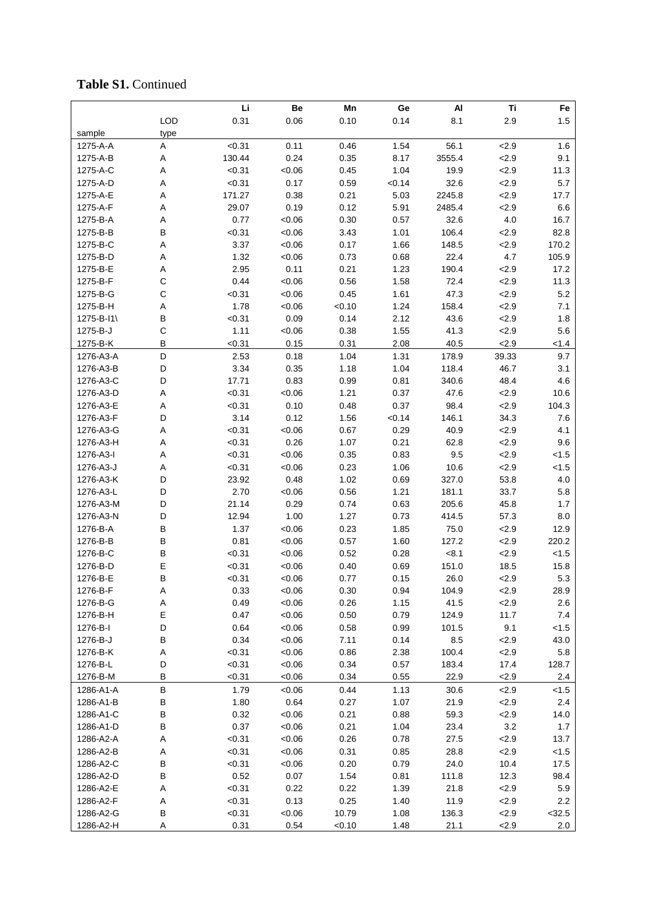## **Table S1.** Continued

|            |             | Li     | Be      | Mn     | Ge     | Al     | Ti      | Fe       |
|------------|-------------|--------|---------|--------|--------|--------|---------|----------|
|            | LOD         | 0.31   | 0.06    | 0.10   | 0.14   | 8.1    | 2.9     | 1.5      |
| sample     | type        |        |         |        |        |        |         |          |
| 1275-A-A   | A           | < 0.31 | 0.11    | 0.46   | 1.54   | 56.1   | 2.9     | 1.6      |
| 1275-A-B   | Α           | 130.44 | 0.24    | 0.35   | 8.17   | 3555.4 | 2.9     | 9.1      |
| 1275-A-C   | Α           | < 0.31 | <0.06   | 0.45   | 1.04   | 19.9   | 2.9     | 11.3     |
| 1275-A-D   | Α           | < 0.31 | 0.17    | 0.59   | < 0.14 | 32.6   | 2.9     | 5.7      |
| 1275-A-E   | Α           | 171.27 | 0.38    | 0.21   | 5.03   | 2245.8 | 2.9     | 17.7     |
| 1275-A-F   | Α           | 29.07  | 0.19    | 0.12   | 5.91   | 2485.4 | 2.9     | 6.6      |
| 1275-B-A   | Α           | 0.77   | <0.06   | 0.30   | 0.57   | 32.6   | 4.0     | 16.7     |
| 1275-B-B   | B           | < 0.31 | <0.06   | 3.43   | 1.01   | 106.4  | 2.9     | 82.8     |
| 1275-B-C   | Α           | 3.37   | <0.06   | 0.17   | 1.66   | 148.5  | 2.9     | 170.2    |
| 1275-B-D   | Α           | 1.32   | <0.06   | 0.73   | 0.68   | 22.4   | 4.7     | 105.9    |
| 1275-B-E   | Α           | 2.95   | 0.11    | 0.21   | 1.23   | 190.4  | 2.9     | 17.2     |
| 1275-B-F   | $\mathsf C$ | 0.44   | <0.06   | 0.56   | 1.58   | 72.4   | 2.9     | 11.3     |
| 1275-B-G   | C           | < 0.31 | < 0.06  | 0.45   | 1.61   | 47.3   | 2.9     | 5.2      |
| 1275-B-H   | A           | 1.78   | < 0.06  | < 0.10 | 1.24   | 158.4  | 2.9     | 7.1      |
| 1275-B-I1\ | B           | < 0.31 | 0.09    | 0.14   | 2.12   | 43.6   | 2.9     | 1.8      |
| 1275-B-J   | $\mathsf C$ | 1.11   | <0.06   | 0.38   | 1.55   | 41.3   | 2.9     | 5.6      |
| 1275-B-K   | B           | < 0.31 | 0.15    | 0.31   | 2.08   | 40.5   | 2.9     | < 1.4    |
| 1276-A3-A  | D           | 2.53   | 0.18    | 1.04   | 1.31   | 178.9  | 39.33   | 9.7      |
| 1276-A3-B  | D           | 3.34   | 0.35    | 1.18   | 1.04   | 118.4  | 46.7    | 3.1      |
| 1276-A3-C  | D           | 17.71  | 0.83    | 0.99   | 0.81   | 340.6  | 48.4    | 4.6      |
| 1276-A3-D  | Α           | < 0.31 | <0.06   | 1.21   | 0.37   | 47.6   | 2.9     | 10.6     |
| 1276-A3-E  | Α           | < 0.31 | 0.10    | 0.48   | 0.37   | 98.4   | 2.9     | 104.3    |
| 1276-A3-F  | D           | 3.14   | 0.12    | 1.56   | < 0.14 | 146.1  | 34.3    | 7.6      |
| 1276-A3-G  | Α           | < 0.31 | <0.06   | 0.67   | 0.29   | 40.9   | 2.9     | 4.1      |
| 1276-A3-H  | Α           | < 0.31 | 0.26    | 1.07   | 0.21   | 62.8   | 2.9     | 9.6      |
| 1276-A3-I  | Α           | < 0.31 | <0.06   | 0.35   | 0.83   | 9.5    | 2.9     | < 1.5    |
| 1276-A3-J  | Α           | < 0.31 | <0.06   | 0.23   | 1.06   | 10.6   | 2.9     | < 1.5    |
| 1276-A3-K  | D           | 23.92  | 0.48    | 1.02   | 0.69   | 327.0  | 53.8    | 4.0      |
| 1276-A3-L  | D           | 2.70   | <0.06   | 0.56   | 1.21   | 181.1  | 33.7    | 5.8      |
| 1276-A3-M  | D           | 21.14  | 0.29    | 0.74   | 0.63   | 205.6  | 45.8    | 1.7      |
| 1276-A3-N  | D           | 12.94  | 1.00    | 1.27   | 0.73   | 414.5  | 57.3    | 8.0      |
| 1276-B-A   | В           | 1.37   | <0.06   | 0.23   | 1.85   | 75.0   | 2.9     | 12.9     |
| 1276-B-B   | B           | 0.81   | < 0.06  | 0.57   | 1.60   | 127.2  | 2.9     | 220.2    |
| 1276-B-C   | B           | < 0.31 | <0.06   | 0.52   | 0.28   | < 8.1  | 2.9     | < 1.5    |
| 1276-B-D   | Е           | < 0.31 | <0.06   | 0.40   | 0.69   | 151.0  | 18.5    | 15.8     |
| 1276-B-E   | B           | < 0.31 | <0.06   | 0.77   | 0.15   | 26.0   | 2.9     | 5.3      |
| 1276-B-F   | Α           | 0.33   | <0.06   | 0.30   | 0.94   | 104.9  | 2.9     | 28.9     |
| 1276-B-G   | A           | 0.49   | <0.06   | 0.26   | 1.15   | 41.5   | 2.9     | 2.6      |
| 1276-B-H   | E           | 0.47   | <0.06   | 0.50   | 0.79   | 124.9  | 11.7    | 7.4      |
| 1276-B-I   | D           | 0.64   | <0.06   | 0.58   | 0.99   | 101.5  | 9.1     | < 1.5    |
| 1276-B-J   | B           | 0.34   | <0.06   | 7.11   | 0.14   | 8.5    | 2.9     | 43.0     |
| 1276-B-K   | Α           | < 0.31 | <0.06   | 0.86   | 2.38   | 100.4  | 2.9     | 5.8      |
| 1276-B-L   | D           | < 0.31 | <0.06   | 0.34   | 0.57   | 183.4  | 17.4    | 128.7    |
| 1276-B-M   | В           | < 0.31 | <0.06   | 0.34   | 0.55   | 22.9   | 2.9     | 2.4      |
| 1286-A1-A  | B           | 1.79   | <0.06   | 0.44   | 1.13   | 30.6   | 2.9     | < 1.5    |
| 1286-A1-B  | В           | 1.80   | 0.64    | 0.27   | 1.07   | 21.9   | 2.9     | 2.4      |
| 1286-A1-C  | B           | 0.32   | <0.06   | 0.21   | 0.88   | 59.3   | 2.9     | 14.0     |
| 1286-A1-D  | B           | 0.37   | <0.06   | 0.21   | 1.04   | 23.4   | $3.2\,$ | 1.7      |
| 1286-A2-A  | Α           | < 0.31 | <0.06   | 0.26   | 0.78   | 27.5   | 2.9     | 13.7     |
| 1286-A2-B  | Α           | < 0.31 | <0.06   | 0.31   | 0.85   | 28.8   | 2.9     | < 1.5    |
| 1286-A2-C  | B           | < 0.31 | <0.06   | 0.20   | 0.79   | 24.0   | 10.4    | 17.5     |
| 1286-A2-D  | B           | 0.52   | 0.07    | 1.54   | 0.81   | 111.8  | 12.3    | 98.4     |
| 1286-A2-E  | Α           | < 0.31 | 0.22    | 0.22   | 1.39   | 21.8   | 2.9     | 5.9      |
| 1286-A2-F  | Α           | < 0.31 | 0.13    | 0.25   | 1.40   | 11.9   | 2.9     | 2.2      |
| 1286-A2-G  | В           | < 0.31 | $-0.06$ | 10.79  | 1.08   | 136.3  | 2.9     | $<$ 32.5 |
| 1286-A2-H  | Α           | 0.31   | 0.54    | < 0.10 | 1.48   | 21.1   | 2.9     | 2.0      |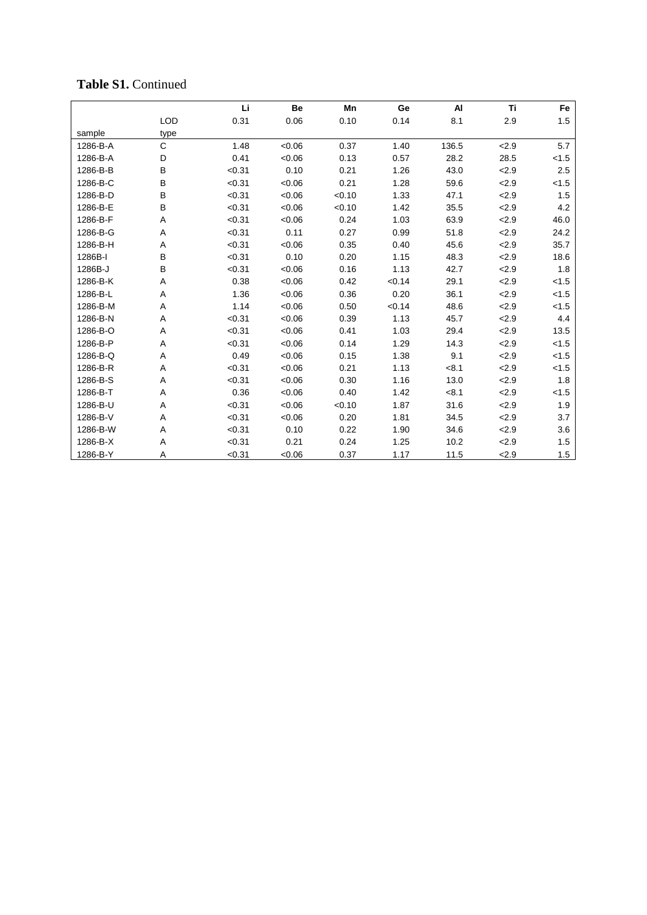## **Table S 1 .** Continued

|          |            | Li     | Be     | Mn     | Ge     | AI    | <b>Ti</b> | Fe    |
|----------|------------|--------|--------|--------|--------|-------|-----------|-------|
|          | <b>LOD</b> | 0.31   | 0.06   | 0.10   | 0.14   | 8.1   | 2.9       | 1.5   |
| sample   | type       |        |        |        |        |       |           |       |
| 1286-B-A | C          | 1.48   | <0.06  | 0.37   | 1.40   | 136.5 | 2.9       | 5.7   |
| 1286-B-A | D          | 0.41   | <0.06  | 0.13   | 0.57   | 28.2  | 28.5      | < 1.5 |
| 1286-B-B | B          | < 0.31 | 0.10   | 0.21   | 1.26   | 43.0  | 2.9       | 2.5   |
| 1286-B-C | B          | < 0.31 | <0.06  | 0.21   | 1.28   | 59.6  | 2.9       | < 1.5 |
| 1286-B-D | B          | < 0.31 | <0.06  | < 0.10 | 1.33   | 47.1  | 2.9       | 1.5   |
| 1286-B-E | B          | < 0.31 | <0.06  | < 0.10 | 1.42   | 35.5  | 2.9       | 4.2   |
| 1286-B-F | A          | < 0.31 | <0.06  | 0.24   | 1.03   | 63.9  | 2.9       | 46.0  |
| 1286-B-G | Α          | < 0.31 | 0.11   | 0.27   | 0.99   | 51.8  | 2.9       | 24.2  |
| 1286-B-H | A          | < 0.31 | < 0.06 | 0.35   | 0.40   | 45.6  | 2.9       | 35.7  |
| 1286B-I  | B          | < 0.31 | 0.10   | 0.20   | 1.15   | 48.3  | 2.9       | 18.6  |
| 1286B-J  | B          | < 0.31 | <0.06  | 0.16   | 1.13   | 42.7  | 2.9       | 1.8   |
| 1286-B-K | Α          | 0.38   | <0.06  | 0.42   | < 0.14 | 29.1  | 2.9       | < 1.5 |
| 1286-B-L | Α          | 1.36   | <0.06  | 0.36   | 0.20   | 36.1  | 2.9       | < 1.5 |
| 1286-B-M | Α          | 1.14   | <0.06  | 0.50   | < 0.14 | 48.6  | 2.9       | < 1.5 |
| 1286-B-N | A          | < 0.31 | <0.06  | 0.39   | 1.13   | 45.7  | 2.9       | 4.4   |
| 1286-B-O | Α          | < 0.31 | <0.06  | 0.41   | 1.03   | 29.4  | 2.9       | 13.5  |
| 1286-B-P | Α          | < 0.31 | < 0.06 | 0.14   | 1.29   | 14.3  | 2.9       | < 1.5 |
| 1286-B-Q | Α          | 0.49   | <0.06  | 0.15   | 1.38   | 9.1   | 2.9       | < 1.5 |
| 1286-B-R | A          | < 0.31 | <0.06  | 0.21   | 1.13   | < 8.1 | 2.9       | < 1.5 |
| 1286-B-S | Α          | < 0.31 | <0.06  | 0.30   | 1.16   | 13.0  | 2.9       | 1.8   |
| 1286-B-T | Α          | 0.36   | <0.06  | 0.40   | 1.42   | < 8.1 | 2.9       | < 1.5 |
| 1286-B-U | A          | < 0.31 | <0.06  | < 0.10 | 1.87   | 31.6  | 2.9       | 1.9   |
| 1286-B-V | Α          | < 0.31 | <0.06  | 0.20   | 1.81   | 34.5  | 2.9       | 3.7   |
| 1286-B-W | Α          | < 0.31 | 0.10   | 0.22   | 1.90   | 34.6  | 2.9       | 3.6   |
| 1286-B-X | A          | < 0.31 | 0.21   | 0.24   | 1.25   | 10.2  | 2.9       | 1.5   |
| 1286-B-Y | Α          | < 0.31 | < 0.06 | 0.37   | 1.17   | 11.5  | 2.9       | 1.5   |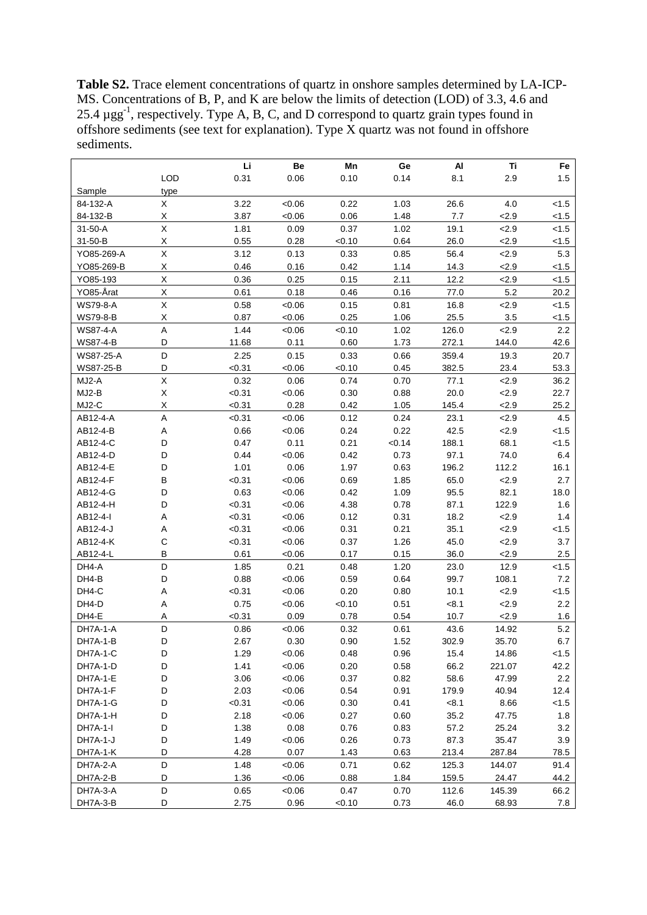**Table S2.** Trace element concentrations of quartz in onshore samples determined by LA-ICP-MS. Concentrations of B, P, and K are below the limits of detection (LOD) of 3.3, 4.6 and 25.4  $\mu$ gg<sup>-1</sup>, respectively. Type A, B, C, and D correspond to quartz grain types found in offshore sediments (see text for explanation). Type X quartz was not found in offshore sediments.

|                  |                    | Li     | Be     | Mn     | Ge     | AI    | Τi     | Fe      |
|------------------|--------------------|--------|--------|--------|--------|-------|--------|---------|
|                  | <b>LOD</b>         | 0.31   | 0.06   | 0.10   | 0.14   | 8.1   | 2.9    | 1.5     |
| Sample           | type               |        |        |        |        |       |        |         |
| 84-132-A         | X                  | 3.22   | < 0.06 | 0.22   | 1.03   | 26.6  | 4.0    | 1.5     |
| 84-132-B         | X                  | 3.87   | < 0.06 | 0.06   | 1.48   | 7.7   | 2.9    | < 1.5   |
| $31 - 50 - A$    | $\mathsf X$        | 1.81   | 0.09   | 0.37   | 1.02   | 19.1  | 2.9    | < 1.5   |
| 31-50-B          | Χ                  | 0.55   | 0.28   | < 0.10 | 0.64   | 26.0  | 2.9    | 1.5     |
| YO85-269-A       | $\sf X$            | 3.12   | 0.13   | 0.33   | 0.85   | 56.4  | 2.9    | 5.3     |
| YO85-269-B       | X                  | 0.46   | 0.16   | 0.42   | 1.14   | 14.3  | 2.9    | < 1.5   |
| YO85-193         | Χ                  | 0.36   | 0.25   | 0.15   | 2.11   | 12.2  | 2.9    | < 1.5   |
| YO85-Årat        | Χ                  | 0.61   | 0.18   | 0.46   | 0.16   | 77.0  | 5.2    | 20.2    |
| <b>WS79-8-A</b>  | X                  | 0.58   | < 0.06 | 0.15   | 0.81   | 16.8  | 2.9    | < 1.5   |
| <b>WS79-8-B</b>  | $\pmb{\mathsf{X}}$ | 0.87   | < 0.06 | 0.25   | 1.06   | 25.5  | 3.5    | 1.5     |
| <b>WS87-4-A</b>  | A                  | 1.44   | < 0.06 | < 0.10 | 1.02   | 126.0 | 2.9    | 2.2     |
| <b>WS87-4-B</b>  | D                  | 11.68  | 0.11   | 0.60   | 1.73   | 272.1 | 144.0  | 42.6    |
| <b>WS87-25-A</b> | D                  | 2.25   | 0.15   | 0.33   | 0.66   | 359.4 | 19.3   | 20.7    |
| WS87-25-B        | D                  | < 0.31 | < 0.06 | < 0.10 | 0.45   | 382.5 | 23.4   | 53.3    |
| MJ2-A            | X                  | 0.32   | 0.06   | 0.74   | 0.70   | 77.1  | 2.9    | 36.2    |
| MJ2-B            | Χ                  | < 0.31 | < 0.06 | 0.30   | 0.88   | 20.0  | 2.9    | 22.7    |
| MJ2-C            | X                  | < 0.31 | 0.28   | 0.42   | 1.05   | 145.4 | 2.9    | 25.2    |
| AB12-4-A         | Α                  | < 0.31 | < 0.06 | 0.12   | 0.24   | 23.1  | 2.9    | 4.5     |
| AB12-4-B         | Α                  | 0.66   | < 0.06 | 0.24   | 0.22   | 42.5  | 2.9    | < 1.5   |
| AB12-4-C         | D                  | 0.47   | 0.11   | 0.21   | < 0.14 | 188.1 | 68.1   | < 1.5   |
| AB12-4-D         | D                  | 0.44   | < 0.06 | 0.42   | 0.73   | 97.1  | 74.0   | 6.4     |
| AB12-4-E         | D                  | 1.01   | 0.06   | 1.97   | 0.63   | 196.2 | 112.2  | 16.1    |
| AB12-4-F         | $\sf B$            | < 0.31 | < 0.06 | 0.69   | 1.85   | 65.0  | 2.9    | 2.7     |
| AB12-4-G         | D                  | 0.63   | < 0.06 | 0.42   | 1.09   | 95.5  | 82.1   | 18.0    |
| AB12-4-H         | D                  | < 0.31 | <0.06  | 4.38   | 0.78   | 87.1  | 122.9  | 1.6     |
| AB12-4-I         | Α                  | < 0.31 | < 0.06 | 0.12   | 0.31   | 18.2  | 2.9    | 1.4     |
| AB12-4-J         | Α                  | < 0.31 | <0.06  | 0.31   | 0.21   | 35.1  | 2.9    | < 1.5   |
| AB12-4-K         | $\mathsf C$        | < 0.31 | < 0.06 | 0.37   | 1.26   | 45.0  | 2.9    | 3.7     |
| AB12-4-L         | B                  | 0.61   | <0.06  | 0.17   | 0.15   | 36.0  | 2.9    | 2.5     |
| DH4-A            | D                  | 1.85   | 0.21   | 0.48   | 1.20   | 23.0  | 12.9   | < 1.5   |
| DH4-B            | D                  | 0.88   | < 0.06 | 0.59   | 0.64   | 99.7  | 108.1  | 7.2     |
| DH4-C            | Α                  | < 0.31 | <0.06  | 0.20   | 0.80   | 10.1  | 2.9    | < 1.5   |
| DH4-D            | Α                  | 0.75   | < 0.06 | < 0.10 | 0.51   | < 8.1 | 2.9    | 2.2     |
| DH4-E            | A                  | < 0.31 | 0.09   | 0.78   | 0.54   | 10.7  | 2.9    | 1.6     |
| DH7A-1-A         | D                  | 0.86   | <0.06  | 0.32   | 0.61   | 43.6  | 14.92  | 5.2     |
| DH7A-1-B         | D                  | 2.67   | 0.30   | 0.90   | 1.52   | 302.9 | 35.70  | 6.7     |
| DH7A-1-C         | D                  | 1.29   | <0.06  | 0.48   | 0.96   | 15.4  | 14.86  | < 1.5   |
| DH7A-1-D         | D                  | 1.41   | < 0.06 | 0.20   | 0.58   | 66.2  | 221.07 | 42.2    |
| DH7A-1-E         | D                  | 3.06   | <0.06  | 0.37   | 0.82   | 58.6  | 47.99  | $2.2\,$ |
| DH7A-1-F         | D                  | 2.03   | <0.06  | 0.54   | 0.91   | 179.9 | 40.94  | 12.4    |
| DH7A-1-G         | D                  | < 0.31 | <0.06  | 0.30   | 0.41   | < 8.1 | 8.66   | < 1.5   |
| DH7A-1-H         | D                  | 2.18   | <0.06  | 0.27   | 0.60   | 35.2  | 47.75  | 1.8     |
| DH7A-1-I         | D                  | 1.38   | 0.08   | 0.76   | 0.83   | 57.2  | 25.24  | 3.2     |
| DH7A-1-J         | D                  | 1.49   | <0.06  | 0.26   | 0.73   | 87.3  | 35.47  | 3.9     |
| DH7A-1-K         | D                  | 4.28   | 0.07   | 1.43   | 0.63   | 213.4 | 287.84 | 78.5    |
| DH7A-2-A         | D                  | 1.48   | <0.06  | 0.71   | 0.62   | 125.3 | 144.07 | 91.4    |
| DH7A-2-B         | D                  | 1.36   | <0.06  | 0.88   | 1.84   | 159.5 | 24.47  | 44.2    |
| DH7A-3-A         | D                  | 0.65   | <0.06  | 0.47   | 0.70   | 112.6 | 145.39 | 66.2    |
| DH7A-3-B         | D                  | 2.75   | 0.96   | <0.10  | 0.73   | 46.0  | 68.93  | 7.8     |